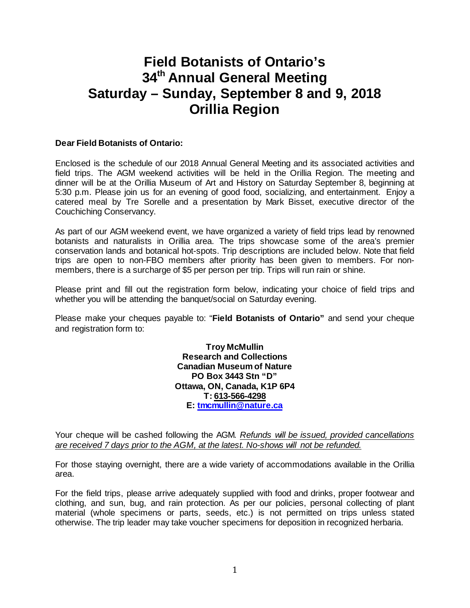# **Field Botanists of Ontario's 34th Annual General Meeting Saturday – Sunday, September 8 and 9, 2018 Orillia Region**

#### **Dear Field Botanists of Ontario:**

Enclosed is the schedule of our 2018 Annual General Meeting and its associated activities and field trips. The AGM weekend activities will be held in the Orillia Region. The meeting and dinner will be at the Orillia Museum of Art and History on Saturday September 8, beginning at 5:30 p.m. Please join us for an evening of good food, socializing, and entertainment. Enjoy a catered meal by Tre Sorelle and a presentation by Mark Bisset, executive director of the Couchiching Conservancy.

As part of our AGM weekend event, we have organized a variety of field trips lead by renowned botanists and naturalists in Orillia area. The trips showcase some of the area's premier conservation lands and botanical hot-spots. Trip descriptions are included below. Note that field trips are open to non-FBO members after priority has been given to members. For nonmembers, there is a surcharge of \$5 per person per trip. Trips will run rain or shine.

Please print and fill out the registration form below, indicating your choice of field trips and whether you will be attending the banquet/social on Saturday evening.

Please make your cheques payable to: "**Field Botanists of Ontario"** and send your cheque and registration form to:

> **Troy McMullin Research and Collections Canadian Museum of Nature PO Box 3443 Stn "D" Ottawa, ON, Canada, K1P 6P4 T: 613-566-4298 E: [tmcmullin@nature.ca](mailto:tmcmullin@nature.ca)**

Your cheque will be cashed following the AGM. *Refunds will be issued, provided cancellations are received 7 days prior to the AGM, at the latest. No-shows will not be refunded.*

For those staying overnight, there are a wide variety of accommodations available in the Orillia area.

For the field trips, please arrive adequately supplied with food and drinks, proper footwear and clothing, and sun, bug, and rain protection. As per our policies, personal collecting of plant material (whole specimens or parts, seeds, etc.) is not permitted on trips unless stated otherwise. The trip leader may take voucher specimens for deposition in recognized herbaria.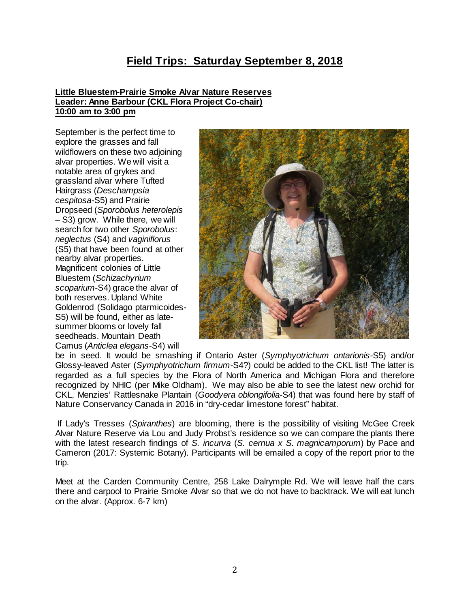# **Field Trips: Saturday September 8, 2018**

#### **Little Bluestem-Prairie Smoke Alvar Nature Reserves Leader: Anne Barbour (CKL Flora Project Co-chair) 10:00 am to 3:00 pm**

September is the perfect time to explore the grasses and fall wildflowers on these two adjoining alvar properties. We will visit a notable area of grykes and grassland alvar where Tufted Hairgrass (*Deschampsia cespitosa*-S5) and Prairie Dropseed (*Sporobolus heterolepis –* S3) grow. While there, we will search for two other *Sporobolus*: *neglectus* (S4) and *vaginiflorus* (S5) that have been found at other nearby alvar properties. Magnificent colonies of Little Bluestem (*Schizachyrium scoparium*-S4) grace the alvar of both reserves. Upland White Goldenrod (Solidago ptarmicoides-S5) will be found, either as latesummer blooms or lovely fall seedheads. Mountain Death Camus (*Anticlea elegans*-S4) will



be in seed. It would be smashing if Ontario Aster (*Symphyotrichum ontarionis-*S5) and/or Glossy-leaved Aster (*Symphyotrichum firmum-*S4?) could be added to the CKL list! The latter is regarded as a full species by the Flora of North America and Michigan Flora and therefore recognized by NHIC (per Mike Oldham). We may also be able to see the latest new orchid for CKL, Menzies' Rattlesnake Plantain (*Goodyera oblongifolia-*S4) that was found here by staff of Nature Conservancy Canada in 2016 in "dry-cedar limestone forest" habitat.

If Lady's Tresses (*Spiranthes*) are blooming, there is the possibility of visiting McGee Creek Alvar Nature Reserve via Lou and Judy Probst's residence so we can compare the plants there with the latest research findings of *S. incurva* (*S. cernua x S. magnicamporum*) by Pace and Cameron (2017: Systemic Botany). Participants will be emailed a copy of the report prior to the trip.

Meet at the Carden Community Centre, 258 Lake Dalrymple Rd. We will leave half the cars there and carpool to Prairie Smoke Alvar so that we do not have to backtrack. We will eat lunch on the alvar. (Approx. 6-7 km)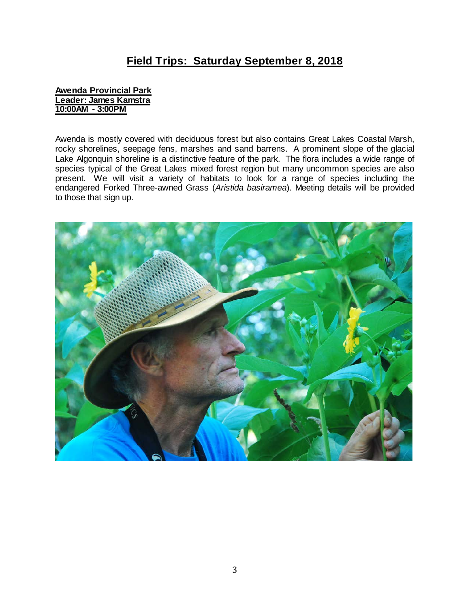# **Field Trips: Saturday September 8, 2018**

### **Awenda Provincial Park Leader: James Kamstra 10:00AM - 3:00PM**

Awenda is mostly covered with deciduous forest but also contains Great Lakes Coastal Marsh, rocky shorelines, seepage fens, marshes and sand barrens. A prominent slope of the glacial Lake Algonquin shoreline is a distinctive feature of the park. The flora includes a wide range of species typical of the Great Lakes mixed forest region but many uncommon species are also present. We will visit a variety of habitats to look for a range of species including the endangered Forked Three-awned Grass (*Aristida basiramea*). Meeting details will be provided to those that sign up.

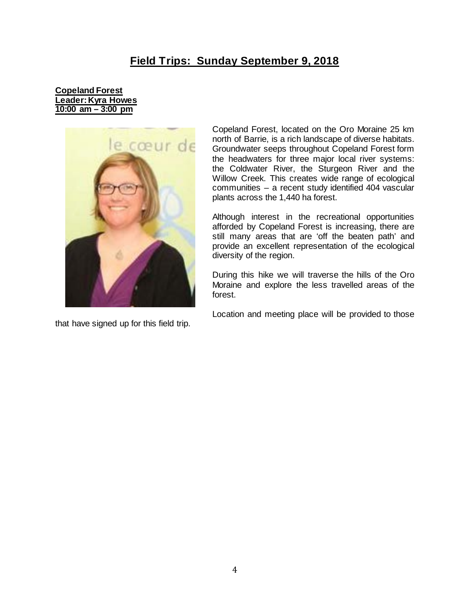# **Field Trips: Sunday September 9, 2018**

### **Copeland Forest Leader: Kyra Howes 10:00 am – 3:00 pm**



that have signed up for this field trip.

Copeland Forest, located on the Oro Moraine 25 km north of Barrie, is a rich landscape of diverse habitats. Groundwater seeps throughout Copeland Forest form the headwaters for three major local river systems: the Coldwater River, the Sturgeon River and the Willow Creek. This creates wide range of ecological communities – a recent study identified 404 vascular plants across the 1,440 ha forest.

Although interest in the recreational opportunities afforded by Copeland Forest is increasing, there are still many areas that are 'off the beaten path' and provide an excellent representation of the ecological diversity of the region.

During this hike we will traverse the hills of the Oro Moraine and explore the less travelled areas of the forest.

Location and meeting place will be provided to those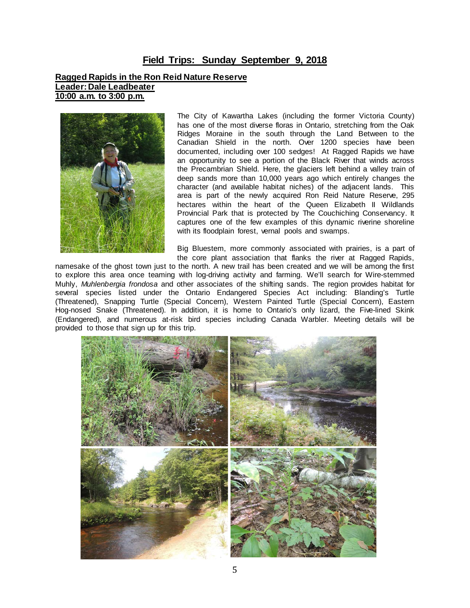### **Field Trips: Sunday September 9, 2018**

#### **Ragged Rapids in the Ron Reid Nature Reserve Leader:Dale Leadbeater 10:00 a.m. to 3:00 p.m.**



The City of Kawartha Lakes (including the former Victoria County) has one of the most diverse floras in Ontario, stretching from the Oak Ridges Moraine in the south through the Land Between to the Canadian Shield in the north. Over 1200 species have been documented, including over 100 sedges! At Ragged Rapids we have an opportunity to see a portion of the Black River that winds across the Precambrian Shield. Here, the glaciers left behind a valley train of deep sands more than 10,000 years ago which entirely changes the character (and available habitat niches) of the adjacent lands. This area is part of the newly acquired Ron Reid Nature Reserve, 295 hectares within the heart of the Queen Elizabeth II Wildlands Provincial Park that is protected by The Couchiching Conservancy. It captures one of the few examples of this dynamic riverine shoreline with its floodplain forest, vernal pools and swamps.

Big Bluestem, more commonly associated with prairies, is a part of the core plant association that flanks the river at Ragged Rapids,

namesake of the ghost town just to the north. A new trail has been created and we will be among the first to explore this area once teaming with log-driving activity and farming. We'll search for Wire-stemmed Muhly, *Muhlenbergia frondosa* and other associates of the shifting sands. The region provides habitat for several species listed under the Ontario Endangered Species Act including: Blanding's Turtle (Threatened), Snapping Turtle (Special Concern), Western Painted Turtle (Special Concern), Eastern Hog-nosed Snake (Threatened). In addition, it is home to Ontario's only lizard, the Five-lined Skink (Endangered), and numerous at-risk bird species including Canada Warbler. Meeting details will be provided to those that sign up for this trip.

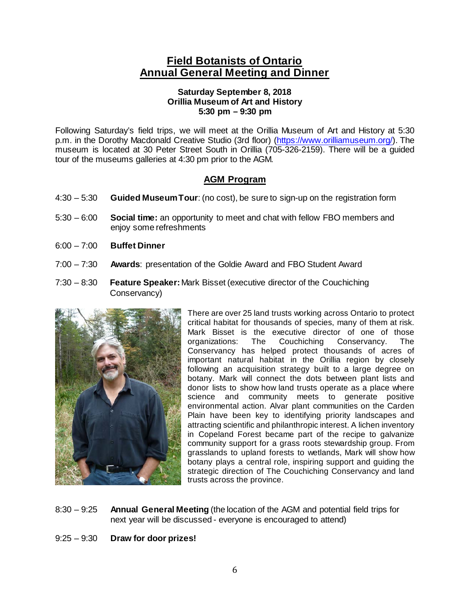# **Field Botanists of Ontario Annual General Meeting and Dinner**

### **Saturday September 8, 2018 Orillia Museum of Art and History 5:30 pm – 9:30 pm**

Following Saturday's field trips, we will meet at the Orillia Museum of Art and History at 5:30 p.m. in the Dorothy Macdonald Creative Studio (3rd floor) [\(https://www.orilliamuseum.org/\)](https://www.orilliamuseum.org/). The museum is located at 30 Peter Street South in Orillia (705-326-2159). There will be a guided tour of the museums galleries at 4:30 pm prior to the AGM.

# **AGM Program**

- 4:30 5:30 **Guided Museum Tour**: (no cost), be sure to sign-up on the registration form
- 5:30 6:00 **Social time:** an opportunity to meet and chat with fellow FBO members and enjoy some refreshments
- 6:00 7:00 **Buffet Dinner**
- 7:00 7:30 **Awards**: presentation of the Goldie Award and FBO Student Award
- 7:30 8:30 **Feature Speaker:**Mark Bisset (executive director of the Couchiching Conservancy)



There are over 25 land trusts working across Ontario to protect critical habitat for thousands of species, many of them at risk. Mark Bisset is the executive director of one of those<br>organizations: The Couchiching Conservancy. The Conservancy. The Conservancy has helped protect thousands of acres of important natural habitat in the Orillia region by closely following an acquisition strategy built to a large degree on botany. Mark will connect the dots between plant lists and donor lists to show how land trusts operate as a place where science and community meets to generate positive environmental action. Alvar plant communities on the Carden Plain have been key to identifying priority landscapes and attracting scientific and philanthropic interest. A lichen inventory in Copeland Forest became part of the recipe to galvanize community support for a grass roots stewardship group. From grasslands to upland forests to wetlands, Mark will show how botany plays a central role, inspiring support and guiding the strategic direction of The Couchiching Conservancy and land trusts across the province.

8:30 – 9:25 **Annual General Meeting** (the location of the AGM and potential field trips for next year will be discussed - everyone is encouraged to attend)

9:25 – 9:30 **Draw for door prizes!**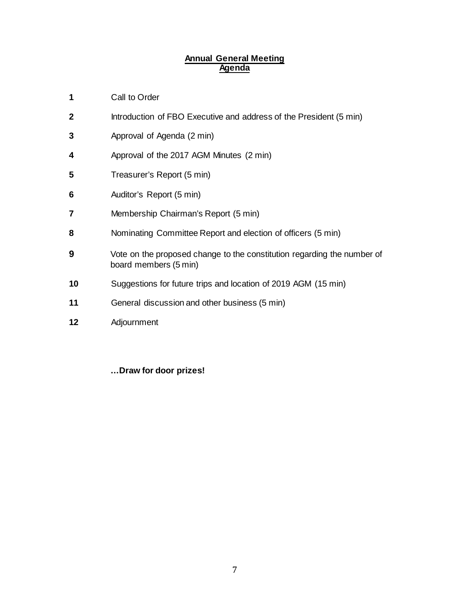### **Annual General Meeting Agenda**

- Call to Order
- Introduction of FBO Executive and address of the President (5 min)
- Approval of Agenda (2 min)
- Approval of the 2017 AGM Minutes (2 min)
- **Treasurer's Report (5 min)**
- Auditor's Report (5 min)
- Membership Chairman's Report (5 min)
- Nominating Committee Report and election of officers (5 min)
- Vote on the proposed change to the constitution regarding the number of board members (5 min)
- Suggestions for future trips and location of 2019 AGM (15 min)
- General discussion and other business (5 min)
- Adjournment

**…Draw for door prizes!**